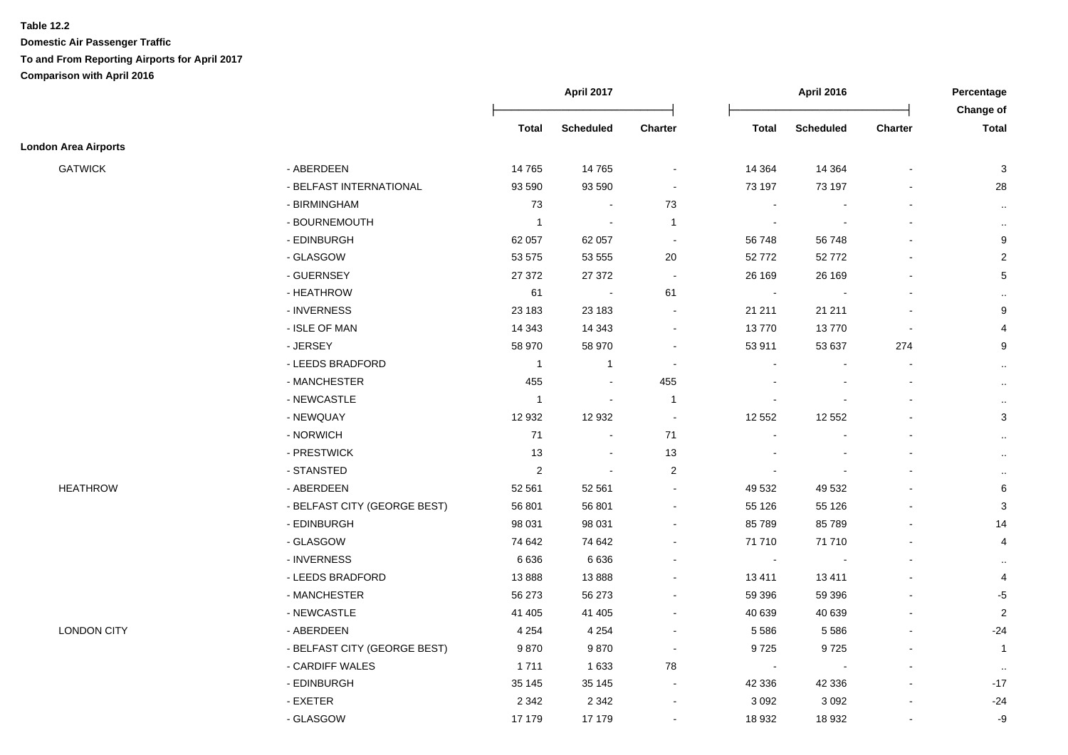|                             |                              | April 2017     |                  | <b>April 2016</b> |                |                  | Percentage<br>Change of |                |
|-----------------------------|------------------------------|----------------|------------------|-------------------|----------------|------------------|-------------------------|----------------|
|                             |                              | <b>Total</b>   | <b>Scheduled</b> | Charter           | <b>Total</b>   | <b>Scheduled</b> | <b>Charter</b>          | <b>Total</b>   |
| <b>London Area Airports</b> |                              |                |                  |                   |                |                  |                         |                |
| <b>GATWICK</b>              | - ABERDEEN                   | 14765          | 14 7 65          | $\blacksquare$    | 14 3 64        | 14 3 64          | $\blacksquare$          | 3              |
|                             | - BELFAST INTERNATIONAL      | 93 590         | 93 590           |                   | 73 197         | 73 197           |                         | 28             |
|                             | - BIRMINGHAM                 | 73             | $\sim$           | 73                | $\sim$         |                  | $\blacksquare$          | $\sim$         |
|                             | - BOURNEMOUTH                | $\mathbf{1}$   |                  | $\overline{1}$    |                |                  |                         | $\cdot$ .      |
|                             | - EDINBURGH                  | 62 057         | 62 057           | $\sim$            | 56748          | 56 748           |                         | 9              |
|                             | - GLASGOW                    | 53 575         | 53 555           | 20                | 52772          | 52772            |                         | $\overline{2}$ |
|                             | - GUERNSEY                   | 27 372         | 27 37 2          | $\blacksquare$    | 26 169         | 26 169           | $\blacksquare$          | $\sqrt{5}$     |
|                             | - HEATHROW                   | 61             | $\blacksquare$   | 61                | $\sim$         | $\blacksquare$   | $\blacksquare$          | $\cdot$ .      |
|                             | - INVERNESS                  | 23 183         | 23 183           | $\sim$            | 21 211         | 21 211           | $\blacksquare$          | 9              |
|                             | - ISLE OF MAN                | 14 3 43        | 14 3 43          | $\sim$            | 13770          | 13770            | $\sim$                  | 4              |
|                             | - JERSEY                     | 58 970         | 58 970           | $\sim$            | 53 911         | 53 637           | 274                     | 9              |
|                             | - LEEDS BRADFORD             | $\overline{1}$ | $\mathbf{1}$     |                   |                |                  |                         | $\sim$         |
|                             | - MANCHESTER                 | 455            |                  | 455               |                |                  |                         | $\sim$         |
|                             | - NEWCASTLE                  | $\mathbf{1}$   |                  | $\overline{1}$    |                |                  |                         | $\sim$         |
|                             | - NEWQUAY                    | 12 932         | 12 932           | $\sim$            | 12 552         | 12 552           |                         | $\sqrt{3}$     |
|                             | - NORWICH                    | $71$           | $\sim$           | 71                | $\blacksquare$ |                  | $\blacksquare$          | $\sim$         |
|                             | - PRESTWICK                  | 13             |                  | 13                |                |                  |                         | $\sim$         |
|                             | - STANSTED                   | $\overline{2}$ |                  | $\overline{2}$    |                |                  |                         | $\cdot$ .      |
| <b>HEATHROW</b>             | - ABERDEEN                   | 52 561         | 52 561           |                   | 49 532         | 49 532           |                         | 6              |
|                             | - BELFAST CITY (GEORGE BEST) | 56 801         | 56 801           | $\sim$            | 55 126         | 55 1 26          |                         | $\mathbf{3}$   |
|                             | - EDINBURGH                  | 98 031         | 98 031           |                   | 85789          | 85789            |                         | 14             |
|                             | - GLASGOW                    | 74 642         | 74 642           |                   | 71 710         | 71710            |                         | $\overline{4}$ |
|                             | - INVERNESS                  | 6636           | 6 6 3 6          |                   | $\blacksquare$ | $\sim$           |                         | $\cdot$ .      |
|                             | - LEEDS BRADFORD             | 13888          | 13888            |                   | 13411          | 13411            |                         | 4              |
|                             | - MANCHESTER                 | 56 273         | 56 273           |                   | 59 396         | 59 396           |                         | $-5$           |
|                             | - NEWCASTLE                  | 41 405         | 41 40 5          |                   | 40 639         | 40 639           |                         | $\overline{2}$ |
| <b>LONDON CITY</b>          | - ABERDEEN                   | 4 2 5 4        | 4 2 5 4          |                   | 5 5 8 6        | 5 5 8 6          |                         | $-24$          |
|                             | - BELFAST CITY (GEORGE BEST) | 9870           | 9870             |                   | 9725           | 9725             | $\blacksquare$          | $\mathbf{1}$   |
|                             | - CARDIFF WALES              | 1711           | 1 6 3 3          | 78                | $\blacksquare$ |                  | $\blacksquare$          | $\sim$         |
|                             | - EDINBURGH                  | 35 145         | 35 145           | $\sim$            | 42 336         | 42 336           | $\blacksquare$          | $-17$          |
|                             | - EXETER                     | 2 3 4 2        | 2 3 4 2          |                   | 3 0 9 2        | 3 0 9 2          |                         | $-24$          |
|                             | - GLASGOW                    | 17 179         | 17 179           | $\blacksquare$    | 18 932         | 18 932           | $\ddot{\phantom{a}}$    | -9             |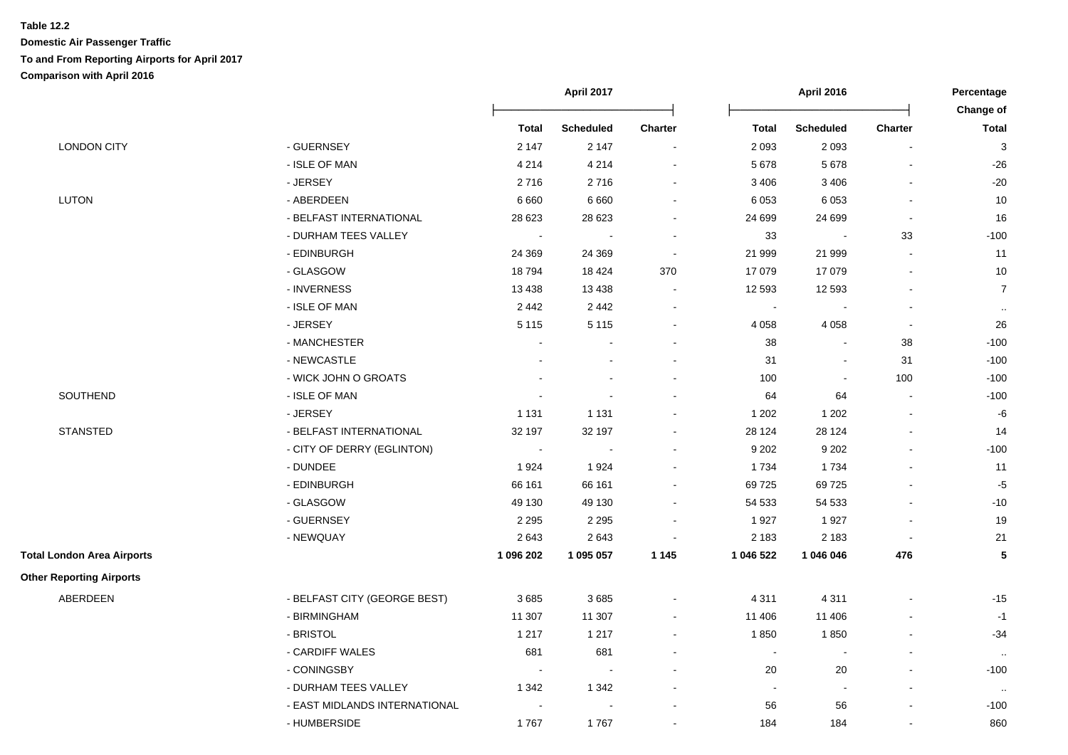|                                   |                               | April 2017     |                  | <b>April 2016</b> |                |                          | Percentage     |                           |
|-----------------------------------|-------------------------------|----------------|------------------|-------------------|----------------|--------------------------|----------------|---------------------------|
|                                   |                               |                |                  |                   |                |                          |                | Change of                 |
|                                   |                               | <b>Total</b>   | <b>Scheduled</b> | <b>Charter</b>    | <b>Total</b>   | <b>Scheduled</b>         | <b>Charter</b> | <b>Total</b>              |
| <b>LONDON CITY</b>                | - GUERNSEY                    | 2 1 4 7        | 2 1 4 7          | $\blacksquare$    | 2 0 9 3        | 2 0 9 3                  |                | $\ensuremath{\mathsf{3}}$ |
|                                   | - ISLE OF MAN                 | 4 2 1 4        | 4 2 1 4          | $\blacksquare$    | 5678           | 5 6 7 8                  |                | $-26$                     |
|                                   | - JERSEY                      | 2716           | 2716             | $\blacksquare$    | 3 4 0 6        | 3 4 0 6                  |                | $-20$                     |
| <b>LUTON</b>                      | - ABERDEEN                    | 6 6 6 0        | 6 6 6 0          | $\blacksquare$    | 6 0 5 3        | 6 0 5 3                  |                | 10                        |
|                                   | - BELFAST INTERNATIONAL       | 28 6 23        | 28 6 23          | $\overline{a}$    | 24 699         | 24 699                   |                | 16                        |
|                                   | - DURHAM TEES VALLEY          | $\sim$         |                  | $\sim$            | 33             | $\sim$                   | 33             | $-100$                    |
|                                   | - EDINBURGH                   | 24 3 69        | 24 3 69          | $\sim$            | 21 999         | 21 999                   |                | 11                        |
|                                   | - GLASGOW                     | 18794          | 18 4 24          | 370               | 17 079         | 17 079                   |                | 10                        |
|                                   | - INVERNESS                   | 13 4 38        | 13 4 38          |                   | 12 5 93        | 12 5 93                  |                | $\overline{7}$            |
|                                   | - ISLE OF MAN                 | 2442           | 2 4 4 2          | $\sim$            | $\sim$         |                          |                | $\cdot$                   |
|                                   | - JERSEY                      | 5 1 1 5        | 5 1 1 5          | $\blacksquare$    | 4 0 5 8        | 4 0 5 8                  |                | 26                        |
|                                   | - MANCHESTER                  |                |                  |                   | 38             |                          | 38             | $-100$                    |
|                                   | - NEWCASTLE                   |                |                  |                   | 31             | $\overline{\phantom{a}}$ | 31             | $-100$                    |
|                                   | - WICK JOHN O GROATS          |                |                  | $\overline{a}$    | 100            | $\blacksquare$           | 100            | $-100$                    |
| SOUTHEND                          | - ISLE OF MAN                 |                |                  |                   | 64             | 64                       |                | $-100$                    |
|                                   | - JERSEY                      | 1 1 3 1        | 1 1 3 1          |                   | 1 2 0 2        | 1 2 0 2                  |                | $\textnormal{-}6$         |
| <b>STANSTED</b>                   | - BELFAST INTERNATIONAL       | 32 197         | 32 197           | $\blacksquare$    | 28 1 24        | 28 1 24                  |                | 14                        |
|                                   | - CITY OF DERRY (EGLINTON)    | $\blacksquare$ |                  |                   | 9 2 0 2        | 9 2 0 2                  |                | $-100$                    |
|                                   | - DUNDEE                      | 1924           | 1924             |                   | 1734           | 1734                     |                | 11                        |
|                                   | - EDINBURGH                   | 66 161         | 66 161           | $\blacksquare$    | 69725          | 69725                    |                | $-5$                      |
|                                   | - GLASGOW                     | 49 130         | 49 130           | $\blacksquare$    | 54 533         | 54 533                   |                | $-10$                     |
|                                   | - GUERNSEY                    | 2 2 9 5        | 2 2 9 5          | $\blacksquare$    | 1927           | 1927                     |                | 19                        |
|                                   | - NEWQUAY                     | 2643           | 2643             | $\blacksquare$    | 2 1 8 3        | 2 1 8 3                  |                | 21                        |
| <b>Total London Area Airports</b> |                               | 1 096 202      | 1 095 057        | 1 1 4 5           | 1 046 522      | 1 046 046                | 476            | ${\bf 5}$                 |
| <b>Other Reporting Airports</b>   |                               |                |                  |                   |                |                          |                |                           |
| ABERDEEN                          | - BELFAST CITY (GEORGE BEST)  | 3685           | 3685             | $\blacksquare$    | 4 3 1 1        | 4 3 1 1                  |                | $-15$                     |
|                                   | - BIRMINGHAM                  | 11 307         | 11 307           | $\blacksquare$    | 11 406         | 11 406                   |                | $-1$                      |
|                                   | - BRISTOL                     | 1 2 1 7        | 1 2 1 7          | $\sim$            | 1850           | 1850                     |                | $-34$                     |
|                                   | - CARDIFF WALES               | 681            | 681              | ÷                 | $\blacksquare$ | $\mathbf{r}$             |                | $\cdot$ .                 |
|                                   | - CONINGSBY                   | $\sim$         |                  |                   | 20             | 20                       |                | $-100$                    |
|                                   | - DURHAM TEES VALLEY          | 1 3 4 2        | 1 3 4 2          |                   | $\blacksquare$ | $\blacksquare$           |                |                           |
|                                   | - EAST MIDLANDS INTERNATIONAL |                |                  |                   | 56             | 56                       |                | $-100$                    |
|                                   | - HUMBERSIDE                  | 1767           | 1767             |                   | 184            | 184                      |                | 860                       |
|                                   |                               |                |                  |                   |                |                          |                |                           |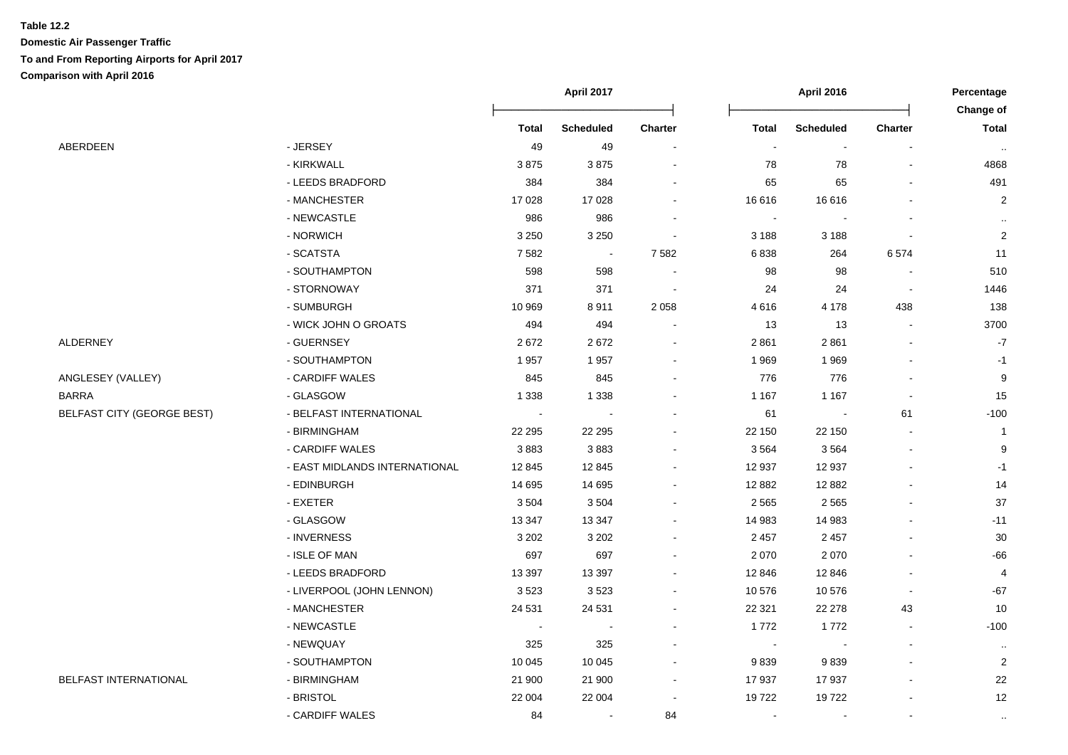|                                   |                               | April 2017               |                          |                |                          | Percentage<br>Change of |                |                |
|-----------------------------------|-------------------------------|--------------------------|--------------------------|----------------|--------------------------|-------------------------|----------------|----------------|
|                                   |                               | <b>Total</b>             | <b>Scheduled</b>         | <b>Charter</b> | <b>Total</b>             | <b>Scheduled</b>        | <b>Charter</b> | <b>Total</b>   |
| ABERDEEN                          | - JERSEY                      | 49                       | 49                       |                | $\overline{\phantom{a}}$ | $\blacksquare$          |                | $\sim$         |
|                                   | - KIRKWALL                    | 3875                     | 3875                     |                | 78                       | 78                      |                | 4868           |
|                                   | - LEEDS BRADFORD              | 384                      | 384                      |                | 65                       | 65                      |                | 491            |
|                                   | - MANCHESTER                  | 17 0 28                  | 17 0 28                  |                | 16 616                   | 16616                   |                | $\overline{2}$ |
|                                   | - NEWCASTLE                   | 986                      | 986                      |                |                          |                         |                |                |
|                                   | - NORWICH                     | 3 2 5 0                  | 3 2 5 0                  |                | 3 1 8 8                  | 3 1 8 8                 |                | $\overline{2}$ |
|                                   | - SCATSTA                     | 7582                     | $\overline{\phantom{a}}$ | 7582           | 6838                     | 264                     | 6574           | 11             |
|                                   | - SOUTHAMPTON                 | 598                      | 598                      |                | 98                       | 98                      |                | 510            |
|                                   | - STORNOWAY                   | 371                      | 371                      | $\sim$         | 24                       | 24                      |                | 1446           |
|                                   | - SUMBURGH                    | 10 969                   | 8911                     | 2058           | 4616                     | 4 1 7 8                 | 438            | 138            |
|                                   | - WICK JOHN O GROATS          | 494                      | 494                      |                | 13                       | 13                      |                | 3700           |
| ALDERNEY                          | - GUERNSEY                    | 2672                     | 2672                     |                | 2861                     | 2861                    |                | $-7$           |
|                                   | - SOUTHAMPTON                 | 1957                     | 1957                     |                | 1969                     | 1969                    |                | $-1$           |
| ANGLESEY (VALLEY)                 | - CARDIFF WALES               | 845                      | 845                      |                | 776                      | 776                     |                | 9              |
| BARRA                             | - GLASGOW                     | 1 3 3 8                  | 1 3 3 8                  |                | 1 1 6 7                  | 1 1 6 7                 |                | 15             |
| <b>BELFAST CITY (GEORGE BEST)</b> | - BELFAST INTERNATIONAL       | $\overline{\phantom{a}}$ |                          |                | 61                       |                         | 61             | $-100$         |
|                                   | - BIRMINGHAM                  | 22 295                   | 22 29 5                  |                | 22 150                   | 22 150                  |                | $\overline{1}$ |
|                                   | - CARDIFF WALES               | 3883                     | 3883                     |                | 3564                     | 3564                    |                | 9              |
|                                   | - EAST MIDLANDS INTERNATIONAL | 12 845                   | 12 845                   |                | 12 937                   | 12 937                  |                | $-1$           |
|                                   | - EDINBURGH                   | 14 695                   | 14 695                   |                | 12 8 82                  | 12 8 82                 |                | 14             |
|                                   | - EXETER                      | 3504                     | 3504                     |                | 2565                     | 2 5 6 5                 |                | 37             |
|                                   | - GLASGOW                     | 13 3 4 7                 | 13 347                   |                | 14 983                   | 14 983                  |                | $-11$          |
|                                   | - INVERNESS                   | 3 2 0 2                  | 3 2 0 2                  |                | 2 4 5 7                  | 2 4 5 7                 |                | 30             |
|                                   | - ISLE OF MAN                 | 697                      | 697                      |                | 2070                     | 2 0 7 0                 |                | $-66$          |
|                                   | - LEEDS BRADFORD              | 13 3 9 7                 | 13 3 9 7                 |                | 12 846                   | 12 846                  |                | $\overline{a}$ |
|                                   | - LIVERPOOL (JOHN LENNON)     | 3523                     | 3523                     |                | 10576                    | 10576                   |                | $-67$          |
|                                   | - MANCHESTER                  | 24 5 31                  | 24 5 31                  |                | 22 3 21                  | 22 278                  | 43             | 10             |
|                                   | - NEWCASTLE                   | $\overline{\phantom{a}}$ |                          |                | 1772                     | 1772                    |                | $-100$         |
|                                   | - NEWQUAY                     | 325                      | 325                      |                |                          |                         |                | $\cdot\cdot$   |
|                                   | - SOUTHAMPTON                 | 10 045                   | 10 045                   |                | 9839                     | 9839                    |                | $\overline{2}$ |
| <b>BELFAST INTERNATIONAL</b>      | - BIRMINGHAM                  | 21 900                   | 21 900                   |                | 17937                    | 17937                   |                | 22             |
|                                   | - BRISTOL                     | 22 004                   | 22 004                   | $\blacksquare$ | 19722                    | 19722                   |                | 12             |
|                                   | - CARDIFF WALES               | 84                       | $\sim$                   | 84             |                          |                         |                | $\cdot$ .      |
|                                   |                               |                          |                          |                |                          |                         |                |                |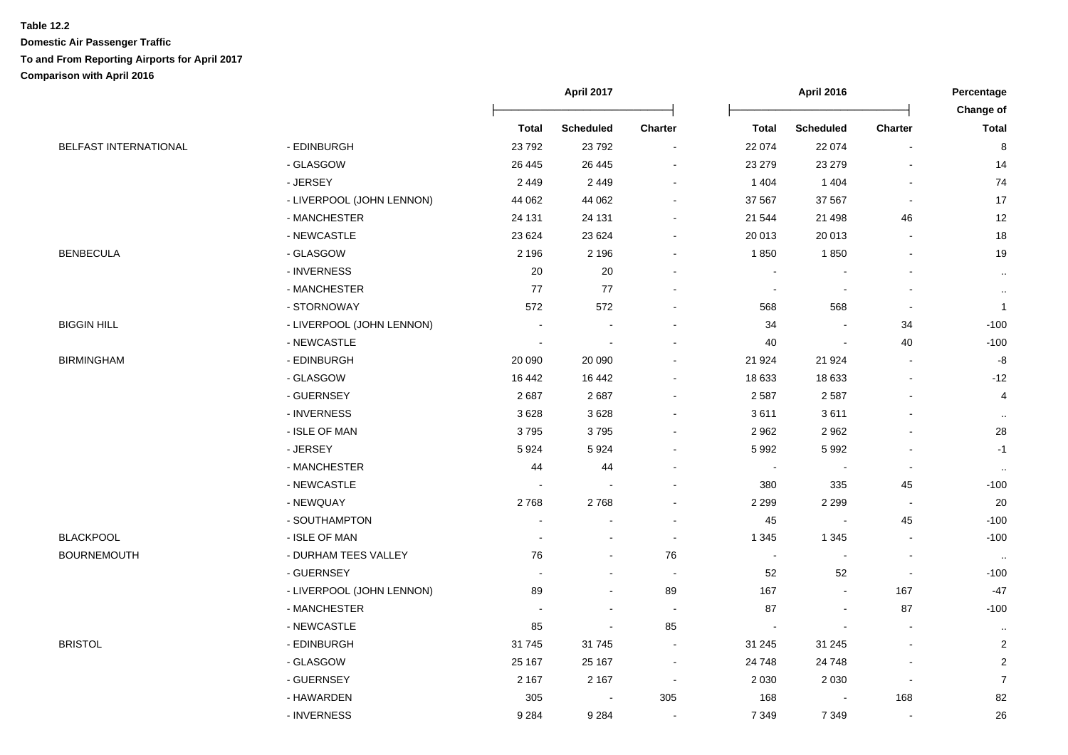|                              |                           | April 2017               |                          |                          | <b>April 2016</b>        |                          |                          | Percentage                |
|------------------------------|---------------------------|--------------------------|--------------------------|--------------------------|--------------------------|--------------------------|--------------------------|---------------------------|
|                              |                           | <b>Total</b>             | <b>Scheduled</b>         | <b>Charter</b>           | <b>Total</b>             | <b>Scheduled</b>         | Charter                  | Change of<br><b>Total</b> |
| <b>BELFAST INTERNATIONAL</b> | - EDINBURGH               | 23 7 9 2                 | 23 792                   | $\blacksquare$           | 22 074                   | 22 074                   | $\overline{\phantom{a}}$ | 8                         |
|                              | - GLASGOW                 | 26 445                   | 26 445                   |                          | 23 279                   | 23 279                   |                          | 14                        |
|                              | - JERSEY                  | 2 4 4 9                  | 2 4 4 9                  |                          | 1 4 0 4                  | 1 4 0 4                  |                          | 74                        |
|                              | - LIVERPOOL (JOHN LENNON) | 44 062                   | 44 062                   |                          | 37 567                   | 37 567                   |                          | 17                        |
|                              | - MANCHESTER              | 24 131                   | 24 131                   |                          | 21 544                   | 21 4 9 8                 | 46                       | 12                        |
|                              | - NEWCASTLE               | 23 6 24                  | 23 6 24                  |                          | 20 013                   | 20 013                   |                          | $18$                      |
| <b>BENBECULA</b>             | - GLASGOW                 | 2 1 9 6                  | 2 1 9 6                  |                          | 1850                     | 1850                     |                          | 19                        |
|                              | - INVERNESS               | 20                       | 20                       |                          |                          |                          |                          | $\ldots$                  |
|                              | - MANCHESTER              | 77                       | 77                       |                          | $\overline{\phantom{a}}$ |                          |                          | $\cdot$ .                 |
|                              | - STORNOWAY               | 572                      | 572                      |                          | 568                      | 568                      | $\blacksquare$           | $\overline{1}$            |
| BIGGIN HILL                  | - LIVERPOOL (JOHN LENNON) |                          |                          |                          | 34                       | $\overline{\phantom{a}}$ | 34                       | $-100$                    |
|                              | - NEWCASTLE               | $\overline{\phantom{a}}$ | $\overline{\phantom{a}}$ |                          | 40                       | $\overline{\phantom{a}}$ | 40                       | $-100$                    |
| BIRMINGHAM                   | - EDINBURGH               | 20 090                   | 20 090                   |                          | 21 924                   | 21 924                   | $\overline{\phantom{a}}$ | $\mbox{-}8$               |
|                              | - GLASGOW                 | 16 442                   | 16 442                   |                          | 18 633                   | 18 633                   |                          | $-12$                     |
|                              | - GUERNSEY                | 2687                     | 2687                     |                          | 2587                     | 2 5 8 7                  |                          | 4                         |
|                              | - INVERNESS               | 3628                     | 3 6 2 8                  |                          | 3611                     | 3611                     |                          | $\sim$                    |
|                              | - ISLE OF MAN             | 3795                     | 3795                     |                          | 2962                     | 2 9 6 2                  |                          | 28                        |
|                              | - JERSEY                  | 5924                     | 5 9 2 4                  |                          | 5992                     | 5 9 9 2                  |                          | $-1$                      |
|                              | - MANCHESTER              | 44                       | 44                       |                          |                          | $\blacksquare$           |                          | $\sim$                    |
|                              | - NEWCASTLE               |                          |                          |                          | 380                      | 335                      | 45                       | $-100$                    |
|                              | - NEWQUAY                 | 2768                     | 2768                     |                          | 2 2 9 9                  | 2 2 9 9                  | $\blacksquare$           | 20                        |
|                              | - SOUTHAMPTON             |                          |                          |                          | 45                       | $\overline{\phantom{a}}$ | 45                       | $-100$                    |
| <b>BLACKPOOL</b>             | - ISLE OF MAN             |                          |                          | $\sim$                   | 1 3 4 5                  | 1 3 4 5                  | $\blacksquare$           | $-100$                    |
| BOURNEMOUTH                  | - DURHAM TEES VALLEY      | 76                       |                          | 76                       | $\overline{\phantom{a}}$ | $\overline{\phantom{a}}$ |                          | $\cdots$                  |
|                              | - GUERNSEY                | $\blacksquare$           |                          | $\overline{\phantom{a}}$ | 52                       | 52                       | $\sim$                   | $-100$                    |
|                              | - LIVERPOOL (JOHN LENNON) | 89                       |                          | 89                       | 167                      | $\blacksquare$           | 167                      | $-47$                     |
|                              | - MANCHESTER              | $\overline{\phantom{a}}$ |                          |                          | 87                       | $\overline{\phantom{a}}$ | 87                       | $-100$                    |
|                              | - NEWCASTLE               | 85                       |                          | 85                       | $\blacksquare$           |                          |                          | $\cdot$                   |
| <b>BRISTOL</b>               | - EDINBURGH               | 31745                    | 31 745                   |                          | 31 245                   | 31 245                   |                          | $\sqrt{2}$                |
|                              | - GLASGOW                 | 25 167                   | 25 167                   |                          | 24 748                   | 24 748                   |                          | $\overline{\mathbf{c}}$   |
|                              | - GUERNSEY                | 2 1 6 7                  | 2 1 6 7                  | $\sim$                   | 2 0 3 0                  | 2 0 3 0                  | $\overline{\phantom{a}}$ | $\overline{7}$            |
|                              | - HAWARDEN                | 305                      |                          | 305                      | 168                      |                          | 168                      | 82                        |
|                              | - INVERNESS               | 9 2 8 4                  | 9 2 8 4                  | $\sim$                   | 7 3 4 9                  | 7 3 4 9                  |                          | 26                        |
|                              |                           |                          |                          |                          |                          |                          |                          |                           |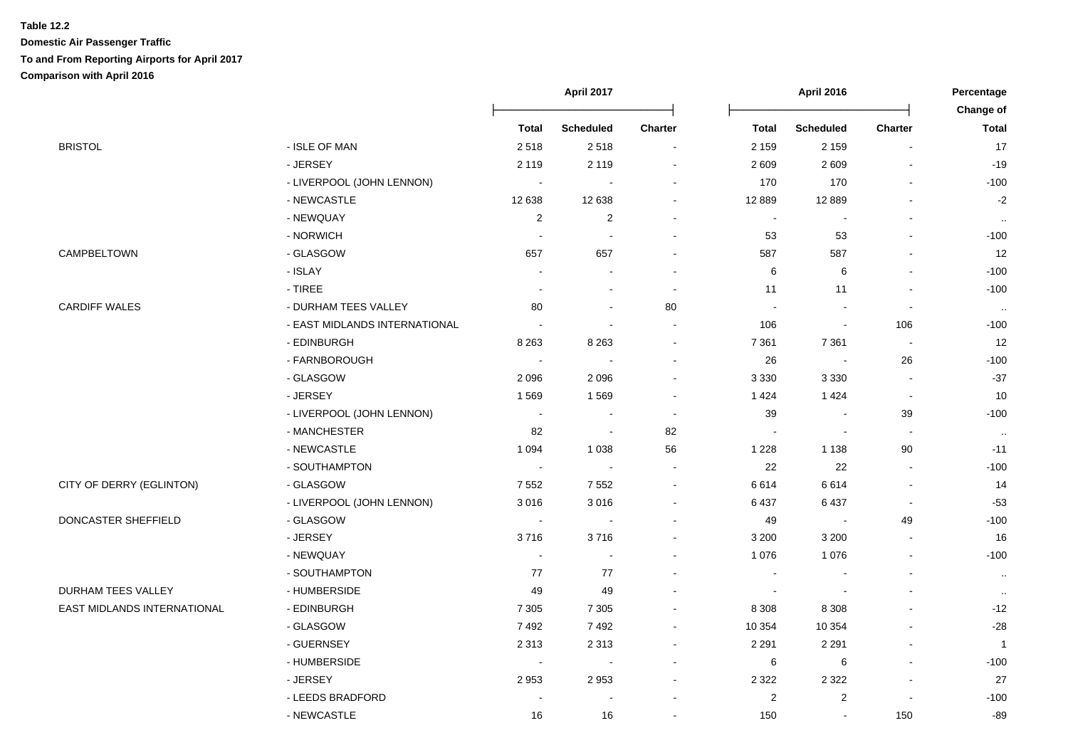#### **Table 12.2**

|                             |                               | April 2017     |                  |         |                | Percentage       |                          |                           |
|-----------------------------|-------------------------------|----------------|------------------|---------|----------------|------------------|--------------------------|---------------------------|
|                             |                               |                |                  |         |                |                  |                          | Change of<br><b>Total</b> |
|                             |                               | <b>Total</b>   | <b>Scheduled</b> | Charter | <b>Total</b>   | <b>Scheduled</b> | <b>Charter</b>           |                           |
| BRISTOL                     | - ISLE OF MAN                 | 2518           | 2518             |         | 2 1 5 9        | 2 1 5 9          |                          | 17                        |
|                             | - JERSEY                      | 2 1 1 9        | 2 1 1 9          |         | 2609           | 2609             |                          | $-19$                     |
|                             | - LIVERPOOL (JOHN LENNON)     | $\sim$         |                  |         | 170            | 170              |                          | $-100$                    |
|                             | - NEWCASTLE                   | 12 638         | 12 638           |         | 12 8 89        | 12 8 89          |                          | $-2$                      |
|                             | - NEWQUAY                     | 2              | $\overline{2}$   |         | $\sim$         |                  |                          | $\cdot$ .                 |
|                             | - NORWICH                     | $\sim$         |                  |         | 53             | 53               |                          | $-100$                    |
| CAMPBELTOWN                 | - GLASGOW                     | 657            | 657              |         | 587            | 587              |                          | 12                        |
|                             | - ISLAY                       |                |                  |         | 6              | 6                |                          | $-100$                    |
|                             | $-$ TIREE                     |                |                  |         | 11             | 11               |                          | $-100$                    |
| CARDIFF WALES               | - DURHAM TEES VALLEY          | 80             |                  | 80      |                |                  | $\overline{\phantom{a}}$ | $\ldots$                  |
|                             | - EAST MIDLANDS INTERNATIONAL | $\sim$         |                  |         | 106            |                  | 106                      | $-100$                    |
|                             | - EDINBURGH                   | 8 2 6 3        | 8 2 6 3          |         | 7 3 6 1        | 7 3 6 1          | $\overline{\phantom{a}}$ | 12                        |
|                             | - FARNBOROUGH                 | $\blacksquare$ |                  |         | 26             | $\sim$           | 26                       | $-100$                    |
|                             | - GLASGOW                     | 2096           | 2 0 9 6          |         | 3 3 3 0        | 3 3 3 0          | $\overline{\phantom{a}}$ | $-37$                     |
|                             | - JERSEY                      | 1569           | 1569             |         | 1424           | 1 4 2 4          | $\blacksquare$           | 10                        |
|                             | - LIVERPOOL (JOHN LENNON)     |                |                  |         | 39             |                  | 39                       | $-100$                    |
|                             | - MANCHESTER                  | 82             |                  | 82      |                |                  |                          | $\sim$                    |
|                             | - NEWCASTLE                   | 1 0 9 4        | 1 0 38           | 56      | 1 2 2 8        | 1 1 3 8          | 90                       | $-11$                     |
|                             | - SOUTHAMPTON                 | $\sim$         |                  |         | 22             | 22               |                          | $-100$                    |
| CITY OF DERRY (EGLINTON)    | - GLASGOW                     | 7552           | 7 5 5 2          |         | 6614           | 6614             |                          | 14                        |
|                             | - LIVERPOOL (JOHN LENNON)     | 3016           | 3 0 16           |         | 6437           | 6 4 3 7          | $\blacksquare$           | $-53$                     |
| DONCASTER SHEFFIELD         | - GLASGOW                     |                |                  |         | 49             |                  | 49                       | $-100$                    |
|                             | - JERSEY                      | 3716           | 3716             |         | 3 2 0 0        | 3 2 0 0          |                          | 16                        |
|                             | - NEWQUAY                     | $\sim$         |                  |         | 1 0 7 6        | 1 0 7 6          | $\blacksquare$           | $-100$                    |
|                             | - SOUTHAMPTON                 | 77             | 77               |         | $\blacksquare$ |                  |                          | $\cdot\cdot$              |
| <b>DURHAM TEES VALLEY</b>   | - HUMBERSIDE                  | 49             | 49               |         |                |                  |                          | $\sim$                    |
| EAST MIDLANDS INTERNATIONAL | - EDINBURGH                   | 7 3 0 5        | 7 3 0 5          |         | 8 3 0 8        | 8 3 0 8          |                          | $-12$                     |
|                             | - GLASGOW                     | 7492           | 7492             |         | 10 354         | 10 354           |                          | -28                       |
|                             | - GUERNSEY                    | 2 3 1 3        | 2 3 1 3          |         | 2 2 9 1        | 2 2 9 1          |                          | $\overline{1}$            |
|                             | - HUMBERSIDE                  |                |                  |         | 6              | 6                |                          | $-100$                    |
|                             | - JERSEY                      | 2953           | 2953             |         | 2 3 2 2        | 2 3 2 2          |                          | 27                        |
|                             | - LEEDS BRADFORD              |                |                  |         | $\overline{2}$ | $\overline{2}$   |                          | $-100$                    |
|                             | - NEWCASTLE                   | 16             | 16               |         | 150            | $\sim$           | 150                      | -89                       |
|                             |                               |                |                  |         |                |                  |                          |                           |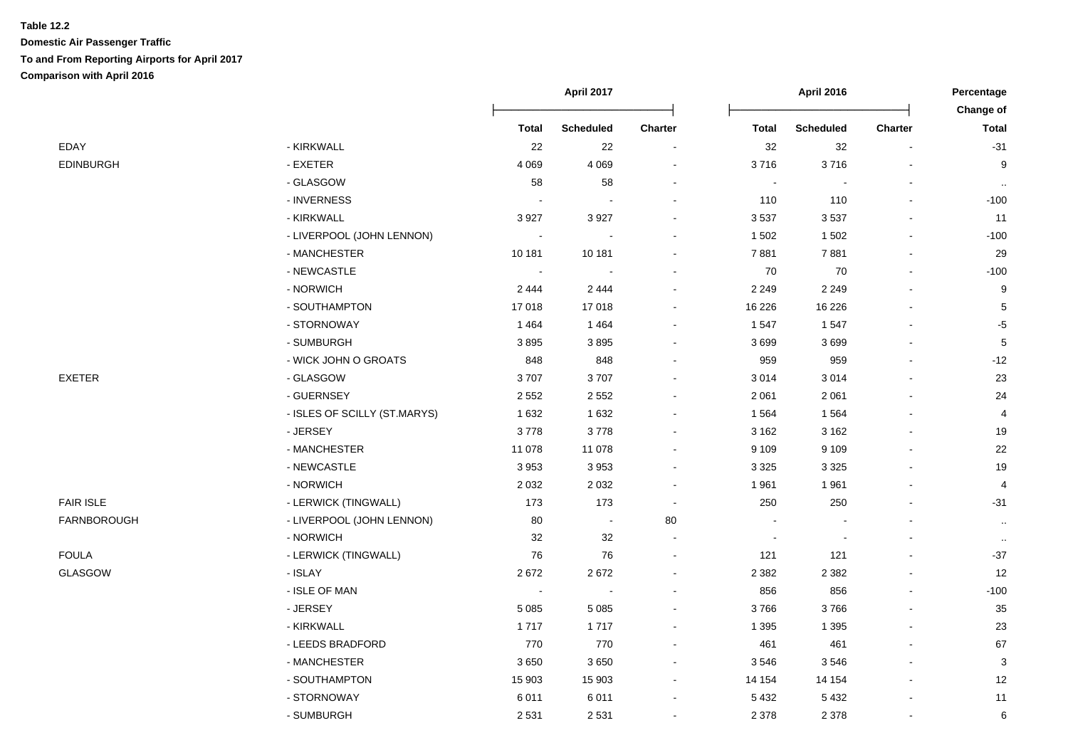|                              |                          |                  |                          |                          | April 2016       |                |                           |
|------------------------------|--------------------------|------------------|--------------------------|--------------------------|------------------|----------------|---------------------------|
|                              | <b>Total</b>             | <b>Scheduled</b> | <b>Charter</b>           | <b>Total</b>             | <b>Scheduled</b> | <b>Charter</b> | Change of<br><b>Total</b> |
| - KIRKWALL                   | 22                       | 22               | $\ddot{\phantom{0}}$     | 32                       | 32               |                | $-31$                     |
| - EXETER                     | 4 0 6 9                  | 4 0 6 9          |                          | 3716                     | 3716             |                | 9                         |
| - GLASGOW                    | 58                       | 58               |                          | $\overline{\phantom{a}}$ |                  |                | $\sim$                    |
| - INVERNESS                  | $\blacksquare$           |                  |                          | 110                      | 110              |                | $-100$                    |
| - KIRKWALL                   | 3 9 27                   | 3 9 2 7          |                          | 3537                     | 3537             |                | 11                        |
| - LIVERPOOL (JOHN LENNON)    | $\sim$                   |                  |                          | 1502                     | 1 5 0 2          |                | $-100$                    |
| - MANCHESTER                 | 10 181                   | 10 181           |                          | 7881                     | 7881             |                | 29                        |
| - NEWCASTLE                  | $\sim$                   |                  |                          | 70                       | 70               |                | $-100$                    |
| - NORWICH                    | 2 4 4 4                  | 2 4 4 4          | $\blacksquare$           | 2 2 4 9                  | 2 2 4 9          |                | 9                         |
| - SOUTHAMPTON                | 17018                    | 17 018           | $\blacksquare$           | 16 2 26                  | 16 2 26          |                | 5                         |
| - STORNOWAY                  | 1464                     | 1 4 6 4          | $\blacksquare$           | 1547                     | 1547             |                | $-5$                      |
| - SUMBURGH                   | 3895                     | 3895             | $\blacksquare$           | 3699                     | 3699             |                | $\mathbf 5$               |
| - WICK JOHN O GROATS         | 848                      | 848              |                          | 959                      | 959              |                | $-12$                     |
| - GLASGOW                    | 3707                     | 3707             |                          | 3014                     | 3014             |                | 23                        |
| - GUERNSEY                   | 2 5 5 2                  | 2 5 5 2          |                          | 2 0 6 1                  | 2 0 6 1          |                | 24                        |
| - ISLES OF SCILLY (ST.MARYS) | 1632                     | 1 6 3 2          |                          | 1564                     | 1564             |                | 4                         |
| - JERSEY                     | 3778                     | 3778             |                          | 3 1 6 2                  | 3 1 6 2          |                | 19                        |
| - MANCHESTER                 | 11 078                   | 11 078           |                          | 9 1 0 9                  | 9 1 0 9          |                | 22                        |
| - NEWCASTLE                  | 3953                     | 3 9 5 3          |                          | 3 3 2 5                  | 3 3 2 5          |                | 19                        |
| - NORWICH                    | 2 0 3 2                  | 2 0 3 2          |                          | 1961                     | 1961             |                | 4                         |
| - LERWICK (TINGWALL)         | 173                      | 173              | $\overline{\phantom{a}}$ | 250                      | 250              |                | $-31$                     |
| - LIVERPOOL (JOHN LENNON)    | 80                       | $\blacksquare$   | 80                       |                          |                  |                | $\sim$                    |
| - NORWICH                    | 32                       | 32               | $\blacksquare$           | $\overline{\phantom{a}}$ |                  |                | $\sim$                    |
| - LERWICK (TINGWALL)         | 76                       | 76               |                          | 121                      | 121              |                | $-37$                     |
| - ISLAY                      | 2672                     | 2672             |                          | 2 3 8 2                  | 2 3 8 2          |                | 12                        |
| - ISLE OF MAN                | $\overline{\phantom{a}}$ |                  |                          | 856                      | 856              |                | $-100$                    |
| - JERSEY                     | 5 0 8 5                  | 5 0 8 5          |                          | 3766                     | 3766             |                | 35                        |
| - KIRKWALL                   | 1717                     | 1717             |                          | 1 3 9 5                  | 1 3 9 5          |                | 23                        |
| - LEEDS BRADFORD             | 770                      | 770              |                          | 461                      | 461              |                | 67                        |
| - MANCHESTER                 | 3650                     | 3 6 5 0          |                          | 3546                     | 3546             |                | 3                         |
| - SOUTHAMPTON                | 15 903                   | 15 903           | $\blacksquare$           | 14 154                   | 14 154           |                | 12                        |
| - STORNOWAY                  | 6011                     | 6 0 1 1          | $\blacksquare$           | 5432                     | 5432             |                | 11                        |
| - SUMBURGH                   | 2531                     | 2 5 3 1          | $\blacksquare$           | 2 3 7 8                  | 2 3 7 8          |                | 6                         |
|                              |                          |                  | April 2017               |                          |                  |                |                           |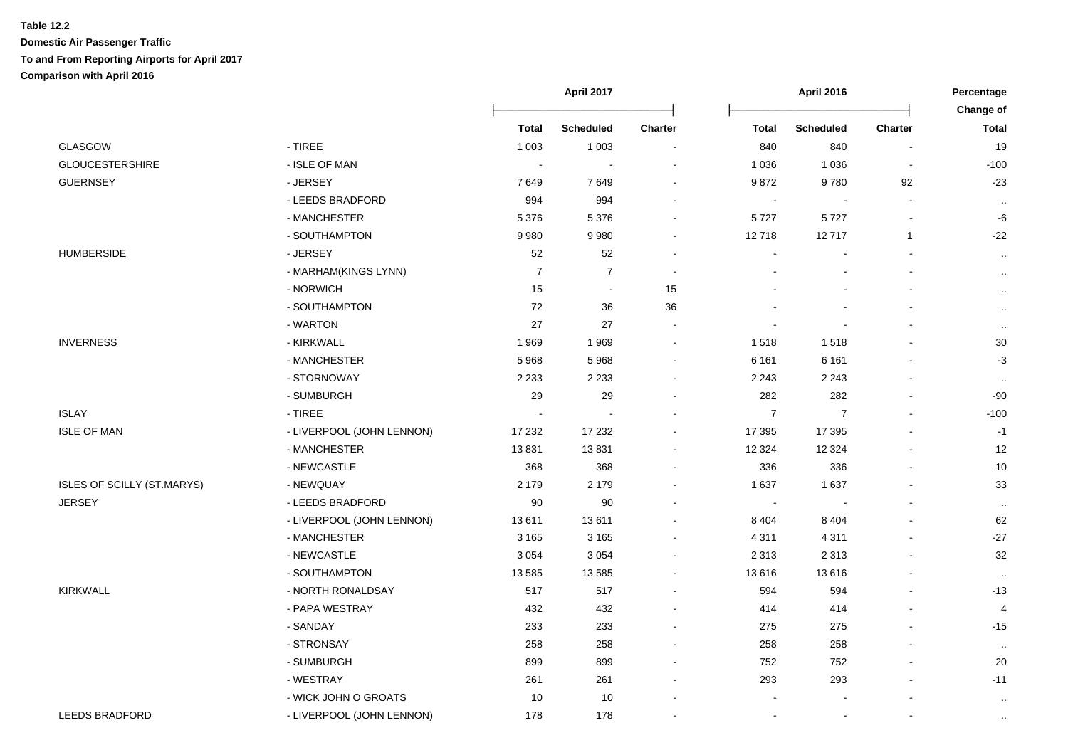|                                   |                           |                | April 2017       |                | April 2016       |                  |                | Percentage                |
|-----------------------------------|---------------------------|----------------|------------------|----------------|------------------|------------------|----------------|---------------------------|
|                                   |                           | <b>Total</b>   | <b>Scheduled</b> | <b>Charter</b> | <b>Total</b>     | <b>Scheduled</b> | <b>Charter</b> | Change of<br><b>Total</b> |
| GLASGOW                           | $-$ TIREE                 | 1 0 0 3        | 1 0 0 3          | $\sim$         | 840              | 840              |                | 19                        |
| <b>GLOUCESTERSHIRE</b>            | - ISLE OF MAN             |                |                  |                | 1 0 3 6          | 1 0 3 6          |                | $-100$                    |
| <b>GUERNSEY</b>                   | - JERSEY                  | 7649           | 7649             |                | 9872             | 9780             | 92             | $-23$                     |
|                                   | - LEEDS BRADFORD          | 994            | 994              |                | $\blacksquare$   |                  |                | $\sim$                    |
|                                   | - MANCHESTER              | 5 3 7 6        | 5 3 7 6          | $\sim$         | 5727             | 5727             |                | -6                        |
|                                   | - SOUTHAMPTON             | 9980           | 9980             | $\sim$         | 12718            | 12717            | 1              | $-22$                     |
| <b>HUMBERSIDE</b>                 | - JERSEY                  | 52             | 52               | $\sim$         |                  |                  |                | $\sim$                    |
|                                   | - MARHAM(KINGS LYNN)      | $\overline{7}$ | $\overline{7}$   | $\sim$         |                  |                  |                | $\sim$                    |
|                                   | - NORWICH                 | 15             | $\sim$           | 15             |                  |                  |                | $\sim$                    |
|                                   | - SOUTHAMPTON             | 72             | 36               | 36             |                  |                  |                | $\sim$                    |
|                                   | - WARTON                  | 27             | 27               | $\sim$         | ä,               |                  |                | $\sim$                    |
| <b>INVERNESS</b>                  | - KIRKWALL                | 1969           | 1 9 6 9          | $\sim$         | 1518             | 1518             |                | $30\,$                    |
|                                   | - MANCHESTER              | 5968           | 5 9 6 8          | $\sim$         | 6 1 6 1          | 6 1 6 1          |                | $-3$                      |
|                                   | - STORNOWAY               | 2 2 3 3        | 2 2 3 3          | $\sim$         | 2 2 4 3          | 2 2 4 3          |                | $\sim$                    |
|                                   | - SUMBURGH                | 29             | 29               | $\sim$         | 282              | 282              |                | $-90$                     |
| <b>ISLAY</b>                      | $-$ TIREE                 |                |                  | $\blacksquare$ | $\boldsymbol{7}$ | 7                |                | $-100$                    |
| <b>ISLE OF MAN</b>                | - LIVERPOOL (JOHN LENNON) | 17 232         | 17 232           |                | 17 395           | 17 395           |                | $-1$                      |
|                                   | - MANCHESTER              | 13831          | 13831            | $\sim$         | 12 3 24          | 12 3 24          |                | 12                        |
|                                   | - NEWCASTLE               | 368            | 368              | $\sim$         | 336              | 336              |                | $10$                      |
| <b>ISLES OF SCILLY (ST.MARYS)</b> | - NEWQUAY                 | 2 1 7 9        | 2 1 7 9          | $\blacksquare$ | 1637             | 1 6 3 7          |                | 33                        |
| <b>JERSEY</b>                     | - LEEDS BRADFORD          | 90             | 90               |                | $\blacksquare$   |                  |                | $\cdot\cdot$              |
|                                   | - LIVERPOOL (JOHN LENNON) | 13611          | 13611            | $\blacksquare$ | 8 4 0 4          | 8 4 0 4          |                | 62                        |
|                                   | - MANCHESTER              | 3 1 6 5        | 3 1 6 5          |                | 4 3 1 1          | 4 3 1 1          |                | $-27$                     |
|                                   | - NEWCASTLE               | 3 0 5 4        | 3 0 5 4          | $\blacksquare$ | 2 3 1 3          | 2 3 1 3          |                | 32                        |
|                                   | - SOUTHAMPTON             | 13 5 8 5       | 13 5 85          | $\blacksquare$ | 13616            | 13616            |                | $\cdot$ .                 |
| <b>KIRKWALL</b>                   | - NORTH RONALDSAY         | 517            | 517              |                | 594              | 594              |                | $-13$                     |
|                                   | - PAPA WESTRAY            | 432            | 432              |                | 414              | 414              |                | 4                         |
|                                   | - SANDAY                  | 233            | 233              |                | 275              | 275              |                | $-15$                     |
|                                   | - STRONSAY                | 258            | 258              |                | 258              | 258              |                | $\sim$                    |
|                                   | - SUMBURGH                | 899            | 899              | $\sim$         | 752              | 752              |                | 20                        |
|                                   | - WESTRAY                 | 261            | 261              | $\sim$         | 293              | 293              |                | $-11$                     |
|                                   | - WICK JOHN O GROATS      | 10             | 10               |                |                  |                  |                | $\sim$                    |
| <b>LEEDS BRADFORD</b>             | - LIVERPOOL (JOHN LENNON) | 178            | 178              | $\blacksquare$ |                  |                  |                | $\sim$                    |